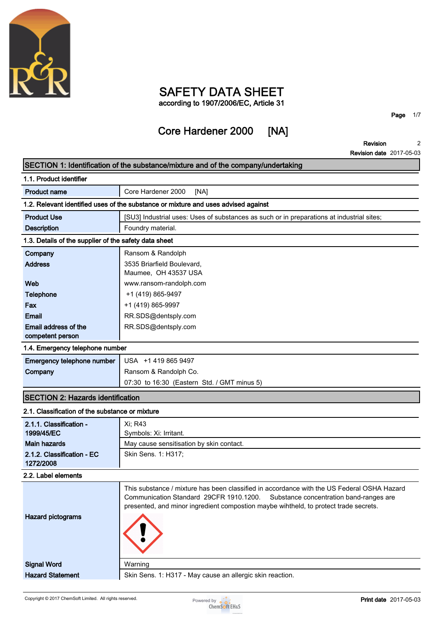

## **SAFETY DATA SHEET according to 1907/2006/EC, Article 31**

# **Core Hardener 2000 [NA]**

**Page 1/7**

**Revision Revision date 2017-05-03 2**

|                                                       | SECTION 1: Identification of the substance/mixture and of the company/undertaking                                                                                       |
|-------------------------------------------------------|-------------------------------------------------------------------------------------------------------------------------------------------------------------------------|
| 1.1. Product identifier                               |                                                                                                                                                                         |
| <b>Product name</b>                                   | Core Hardener 2000<br>[NA]                                                                                                                                              |
|                                                       | 1.2. Relevant identified uses of the substance or mixture and uses advised against                                                                                      |
| <b>Product Use</b>                                    | [SU3] Industrial uses: Uses of substances as such or in preparations at industrial sites;                                                                               |
| <b>Description</b>                                    | Foundry material.                                                                                                                                                       |
| 1.3. Details of the supplier of the safety data sheet |                                                                                                                                                                         |
| Company                                               | Ransom & Randolph                                                                                                                                                       |
| <b>Address</b>                                        | 3535 Briarfield Boulevard,                                                                                                                                              |
|                                                       | Maumee, OH 43537 USA                                                                                                                                                    |
| Web                                                   | www.ransom-randolph.com                                                                                                                                                 |
| Telephone                                             | +1 (419) 865-9497                                                                                                                                                       |
| Fax                                                   | +1 (419) 865-9997                                                                                                                                                       |
| <b>Email</b>                                          | RR.SDS@dentsply.com                                                                                                                                                     |
| Email address of the                                  | RR.SDS@dentsply.com                                                                                                                                                     |
| competent person                                      |                                                                                                                                                                         |
| 1.4. Emergency telephone number                       |                                                                                                                                                                         |
| Emergency telephone number                            | USA +1 419 865 9497                                                                                                                                                     |
| Company                                               | Ransom & Randolph Co.                                                                                                                                                   |
|                                                       | 07:30 to 16:30 (Eastern Std. / GMT minus 5)                                                                                                                             |
| <b>SECTION 2: Hazards identification</b>              |                                                                                                                                                                         |
| 2.1. Classification of the substance or mixture       |                                                                                                                                                                         |
| 2.1.1. Classification -                               | Xi; R43                                                                                                                                                                 |
| 1999/45/EC                                            | Symbols: Xi: Irritant.                                                                                                                                                  |
| <b>Main hazards</b>                                   | May cause sensitisation by skin contact.                                                                                                                                |
| 2.1.2. Classification - EC                            | Skin Sens. 1: H317;                                                                                                                                                     |
| 1272/2008                                             |                                                                                                                                                                         |
| 2.2. Label elements                                   |                                                                                                                                                                         |
|                                                       | This substance / mixture has been classified in accordance with the US Federal OSHA Hazard                                                                              |
|                                                       | Communication Standard 29CFR 1910.1200. Substance concentration band-ranges are<br>presented, and minor ingredient compostion maybe wihtheld, to protect trade secrets. |
| <b>Hazard pictograms</b>                              |                                                                                                                                                                         |
|                                                       |                                                                                                                                                                         |
|                                                       |                                                                                                                                                                         |
|                                                       |                                                                                                                                                                         |
|                                                       |                                                                                                                                                                         |
| <b>Signal Word</b>                                    | Warning                                                                                                                                                                 |
| <b>Hazard Statement</b>                               | Skin Sens. 1: H317 - May cause an allergic skin reaction.                                                                                                               |

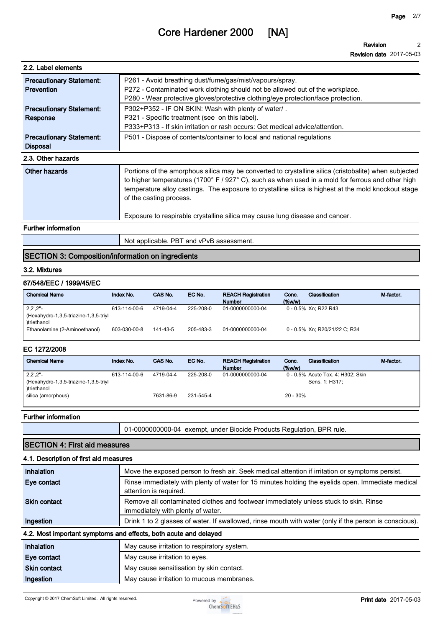**Revision Revision date 2017-05-03 2**

| 2.2. Label elements                                  |                                                                                                                                                                                                                                                                                                                                               |
|------------------------------------------------------|-----------------------------------------------------------------------------------------------------------------------------------------------------------------------------------------------------------------------------------------------------------------------------------------------------------------------------------------------|
| <b>Precautionary Statement:</b><br><b>Prevention</b> | P261 - Avoid breathing dust/fume/gas/mist/vapours/spray.<br>P272 - Contaminated work clothing should not be allowed out of the workplace.<br>P280 - Wear protective gloves/protective clothing/eye protection/face protection.                                                                                                                |
| <b>Precautionary Statement:</b><br>Response          | P302+P352 - IF ON SKIN: Wash with plenty of water/.<br>P321 - Specific treatment (see on this label).<br>P333+P313 - If skin irritation or rash occurs: Get medical advice/attention.                                                                                                                                                         |
| <b>Precautionary Statement:</b><br><b>Disposal</b>   | P501 - Dispose of contents/container to local and national regulations                                                                                                                                                                                                                                                                        |
| 2.3. Other hazards                                   |                                                                                                                                                                                                                                                                                                                                               |
| Other hazards                                        | Portions of the amorphous silica may be converted to crystalline silica (cristobalite) when subjected<br>to higher temperatures (1700° F / 927° C), such as when used in a mold for ferrous and other high<br>temperature alloy castings. The exposure to crystalline silica is highest at the mold knockout stage<br>of the casting process. |
|                                                      | Exposure to respirable crystalline silica may cause lung disease and cancer.                                                                                                                                                                                                                                                                  |
| <b>Further information</b>                           |                                                                                                                                                                                                                                                                                                                                               |

**Not applicable. PBT and vPvB assessment.**

#### **SECTION 3: Composition/information on ingredients**

#### **3.2. Mixtures**

#### **67/548/EEC / 1999/45/EC**

| <b>Chemical Name</b>                                                       | Index No.    | CAS No.   | EC No.    | <b>REACH Registration</b><br><b>Number</b> | Conc.<br>$(\%w/w)$ | Classification                | M-factor. |
|----------------------------------------------------------------------------|--------------|-----------|-----------|--------------------------------------------|--------------------|-------------------------------|-----------|
| $2,2^{\prime},2^{\prime\prime}$ -<br>Hexahydro-1,3,5-triazine-1,3,5-triyl) | 613-114-00-6 | 4719-04-4 | 225-208-0 | 01-0000000000-04                           |                    | 0 - 0.5% Xn; R22 R43          |           |
| <i>c</i> triethanol<br>Ethanolamine (2-Aminoethanol)                       | 603-030-00-8 | 141-43-5  | 205-483-3 | 01-0000000000-04                           |                    | 0 - 0.5% Xn; R20/21/22 C; R34 |           |

#### **EC 1272/2008**

| <b>Chemical Name</b>                  | Index No.    | CAS No.   | EC No.    | <b>REACH Registration</b><br><b>Number</b> | Conc.<br>$($ %w/w $)$ | Classification                    | M-factor. |
|---------------------------------------|--------------|-----------|-----------|--------------------------------------------|-----------------------|-----------------------------------|-----------|
| $2,2^{\prime},2^{\prime\prime}$ -     | 613-114-00-6 | 4719-04-4 | 225-208-0 | 01-0000000000-04                           |                       | 0 - 0.5% Acute Tox. 4: H302; Skin |           |
| (Hexahydro-1,3,5-triazine-1,3,5-triyl |              |           |           |                                            |                       | Sens. 1: H317:                    |           |
| )triethanol                           |              |           |           |                                            |                       |                                   |           |
| silica (amorphous)                    |              | 7631-86-9 | 231-545-4 |                                            | $20 - 30\%$           |                                   |           |
|                                       |              |           |           |                                            |                       |                                   |           |

#### **Further information**

**01-0000000000-04 exempt, under Biocide Products Regulation, BPR rule.**

## **SECTION 4: First aid measures**

#### **4.1. Description of first aid measures**

| Inhalation          | Move the exposed person to fresh air. Seek medical attention if irritation or symptoms persist.                             |  |  |  |  |
|---------------------|-----------------------------------------------------------------------------------------------------------------------------|--|--|--|--|
| Eye contact         | Rinse immediately with plenty of water for 15 minutes holding the eyelids open. Immediate medical<br>attention is required. |  |  |  |  |
| <b>Skin contact</b> | Remove all contaminated clothes and footwear immediately unless stuck to skin. Rinse<br>immediately with plenty of water.   |  |  |  |  |
| Ingestion           | Drink 1 to 2 glasses of water. If swallowed, rinse mouth with water (only if the person is conscious).                      |  |  |  |  |
|                     | 4.2. Most important symptoms and effects, both acute and delayed                                                            |  |  |  |  |
| Inhalation          | May cause irritation to respiratory system.                                                                                 |  |  |  |  |
| Eye contact         | May cause irritation to eyes.                                                                                               |  |  |  |  |
| Skin contact        | May cause sensitisation by skin contact.                                                                                    |  |  |  |  |
| Ingestion           | May cause irritation to mucous membranes.                                                                                   |  |  |  |  |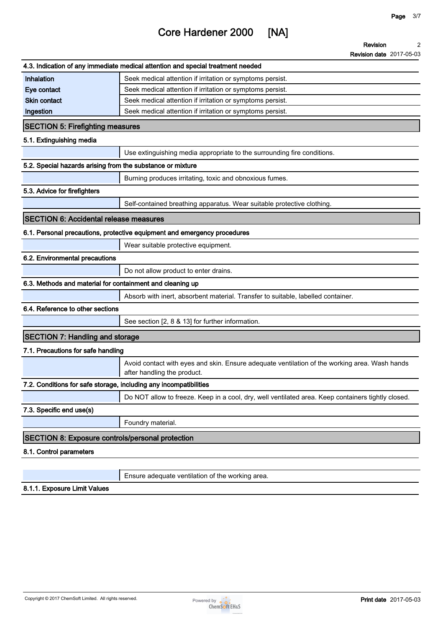**Revision 2**

|                                                                   | <b>Revision date 2017-05-03</b>                                                                                              |
|-------------------------------------------------------------------|------------------------------------------------------------------------------------------------------------------------------|
|                                                                   | 4.3. Indication of any immediate medical attention and special treatment needed                                              |
| Inhalation                                                        | Seek medical attention if irritation or symptoms persist.                                                                    |
| Eye contact                                                       | Seek medical attention if irritation or symptoms persist.                                                                    |
| <b>Skin contact</b>                                               | Seek medical attention if irritation or symptoms persist.                                                                    |
| Ingestion                                                         | Seek medical attention if irritation or symptoms persist.                                                                    |
| <b>SECTION 5: Firefighting measures</b>                           |                                                                                                                              |
| 5.1. Extinguishing media                                          |                                                                                                                              |
|                                                                   | Use extinguishing media appropriate to the surrounding fire conditions.                                                      |
| 5.2. Special hazards arising from the substance or mixture        |                                                                                                                              |
|                                                                   | Burning produces irritating, toxic and obnoxious fumes.                                                                      |
| 5.3. Advice for firefighters                                      |                                                                                                                              |
|                                                                   | Self-contained breathing apparatus. Wear suitable protective clothing.                                                       |
| <b>SECTION 6: Accidental release measures</b>                     |                                                                                                                              |
|                                                                   | 6.1. Personal precautions, protective equipment and emergency procedures                                                     |
|                                                                   | Wear suitable protective equipment.                                                                                          |
| 6.2. Environmental precautions                                    |                                                                                                                              |
|                                                                   | Do not allow product to enter drains.                                                                                        |
| 6.3. Methods and material for containment and cleaning up         |                                                                                                                              |
|                                                                   | Absorb with inert, absorbent material. Transfer to suitable, labelled container.                                             |
| 6.4. Reference to other sections                                  |                                                                                                                              |
|                                                                   | See section [2, 8 & 13] for further information.                                                                             |
| <b>SECTION 7: Handling and storage</b>                            |                                                                                                                              |
| 7.1. Precautions for safe handling                                |                                                                                                                              |
|                                                                   | Avoid contact with eyes and skin. Ensure adequate ventilation of the working area. Wash hands<br>after handling the product. |
| 7.2. Conditions for safe storage, including any incompatibilities |                                                                                                                              |
|                                                                   | Do NOT allow to freeze. Keep in a cool, dry, well ventilated area. Keep containers tightly closed.                           |
| 7.3. Specific end use(s)                                          |                                                                                                                              |
|                                                                   | Foundry material.                                                                                                            |
| <b>SECTION 8: Exposure controls/personal protection</b>           |                                                                                                                              |
| 8.1. Control parameters                                           |                                                                                                                              |
|                                                                   |                                                                                                                              |
|                                                                   | Ensure adequate ventilation of the working area.                                                                             |

**8.1.1. Exposure Limit Values**

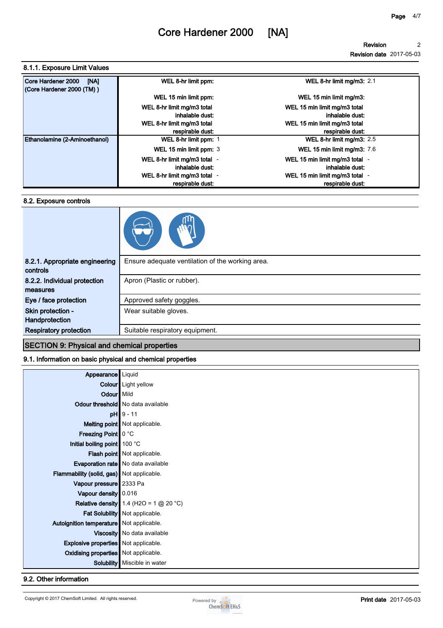**Revision 2**

**Revision date 2017-05-03**

#### **8.1.1. Exposure Limit Values**

| Core Hardener 2000<br>[NA]<br>(Core Hardener 2000 (TM)) | WEL 8-hr limit ppm:          | WEL 8-hr limit mg/m3: 2.1          |
|---------------------------------------------------------|------------------------------|------------------------------------|
|                                                         | WEL 15 min limit ppm:        | WEL 15 min limit mg/m3:            |
|                                                         | WEL 8-hr limit mg/m3 total   | WEL 15 min limit mg/m3 total       |
|                                                         | inhalable dust:              | inhalable dust:                    |
|                                                         | WEL 8-hr limit mg/m3 total   | WEL 15 min limit mg/m3 total       |
|                                                         | respirable dust:             | respirable dust:                   |
| Ethanolamine (2-Aminoethanol)                           | WEL 8-hr limit ppm: 1        | WEL 8-hr limit mg/m3: $2.5$        |
|                                                         | WEL 15 min limit ppm: 3      | <b>WEL 15 min limit mg/m3: 7.6</b> |
|                                                         | WEL 8-hr limit mg/m3 total - | WEL 15 min limit mg/m3 total -     |
|                                                         | inhalable dust:              | inhalable dust:                    |
|                                                         | WEL 8-hr limit mg/m3 total - | WEL 15 min limit mg/m3 total       |
|                                                         | respirable dust:             | respirable dust:                   |

#### **8.2. Exposure controls**

| ļψ |
|----|
|    |

| 8.2.1. Appropriate engineering<br>controls | Ensure adequate ventilation of the working area. |
|--------------------------------------------|--------------------------------------------------|
| 8.2.2. Individual protection               | Apron (Plastic or rubber).                       |
| measures                                   |                                                  |
| Eye / face protection                      | Approved safety goggles.                         |
| Skin protection -                          | Wear suitable gloves.                            |
| Handprotection                             |                                                  |
| <b>Respiratory protection</b>              | Suitable respiratory equipment.                  |
|                                            |                                                  |

### **SECTION 9: Physical and chemical properties**

#### **9.1. Information on basic physical and chemical properties**

| Appearance                                  | Liquid                                          |
|---------------------------------------------|-------------------------------------------------|
|                                             | Colour Light yellow                             |
| Odour   Mild                                |                                                 |
|                                             | Odour threshold   No data available             |
|                                             | $pH$ 9 - 11                                     |
|                                             | Melting point Not applicable.                   |
| Freezing Point   0 °C                       |                                                 |
| Initial boiling point 100 °C                |                                                 |
|                                             | <b>Flash point</b> Not applicable.              |
|                                             | <b>Evaporation rate</b> No data available       |
| Flammability (solid, gas) Not applicable.   |                                                 |
| Vapour pressure 2333 Pa                     |                                                 |
| Vapour density 0.016                        |                                                 |
|                                             | <b>Relative density</b> 1.4 (H2O = 1 $@$ 20 °C) |
|                                             | Fat Solubility   Not applicable.                |
| Autoignition temperature   Not applicable.  |                                                 |
|                                             | Viscosity   No data available                   |
| <b>Explosive properties</b> Not applicable. |                                                 |
| <b>Oxidising properties</b> Not applicable. |                                                 |
|                                             | <b>Solubility</b> Miscible in water             |

#### **9.2. Other information**

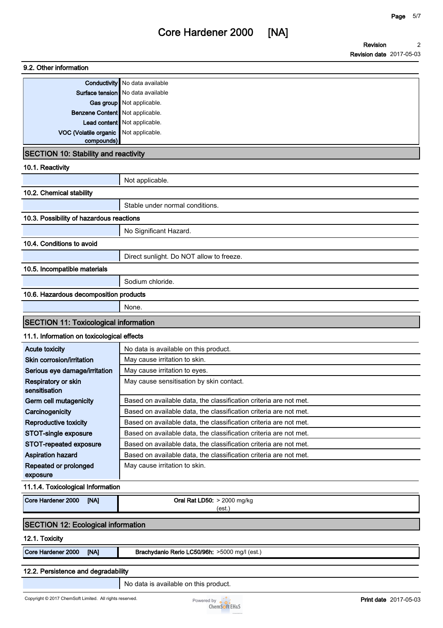**Revision Revision date 2017-05-03 2**

|                                              | <b>Conductivity</b> No data available                             |
|----------------------------------------------|-------------------------------------------------------------------|
|                                              | Surface tension   No data available                               |
|                                              | Gas group Not applicable.                                         |
| Benzene Content   Not applicable.            |                                                                   |
|                                              | Lead content   Not applicable.                                    |
| VOC (Volatile organic                        | Not applicable.                                                   |
| compounds)                                   |                                                                   |
| <b>SECTION 10: Stability and reactivity</b>  |                                                                   |
| 10.1. Reactivity                             |                                                                   |
|                                              | Not applicable.                                                   |
| 10.2. Chemical stability                     |                                                                   |
|                                              | Stable under normal conditions.                                   |
| 10.3. Possibility of hazardous reactions     |                                                                   |
|                                              | No Significant Hazard.                                            |
| 10.4. Conditions to avoid                    |                                                                   |
|                                              | Direct sunlight. Do NOT allow to freeze.                          |
| 10.5. Incompatible materials                 |                                                                   |
|                                              | Sodium chloride.                                                  |
| 10.6. Hazardous decomposition products       |                                                                   |
|                                              | None.                                                             |
| <b>SECTION 11: Toxicological information</b> |                                                                   |
| 11.1. Information on toxicological effects   |                                                                   |
| <b>Acute toxicity</b>                        | No data is available on this product.                             |
|                                              |                                                                   |
| Skin corrosion/irritation                    | May cause irritation to skin.                                     |
| Serious eye damage/irritation                | May cause irritation to eyes.                                     |
| Respiratory or skin<br>sensitisation         | May cause sensitisation by skin contact.                          |
| Germ cell mutagenicity                       | Based on available data, the classification criteria are not met. |
| Carcinogenicity                              | Based on available data, the classification criteria are not met. |
| <b>Reproductive toxicity</b>                 | Based on available data, the classification criteria are not met. |
| STOT-single exposure                         | Based on available data, the classification criteria are not met. |
| STOT-repeated exposure                       | Based on available data, the classification criteria are not met. |
| <b>Aspiration hazard</b>                     | Based on available data, the classification criteria are not met. |
| Repeated or prolonged                        | May cause irritation to skin.                                     |
| exposure                                     |                                                                   |
| 11.1.4. Toxicological Information            |                                                                   |
| Core Hardener 2000<br>[NA]                   | Oral Rat LD50: > 2000 mg/kg                                       |
|                                              | (est.)                                                            |
| <b>SECTION 12: Ecological information</b>    |                                                                   |
| 12.1. Toxicity                               |                                                                   |
| Core Hardener 2000<br>[NA]                   | Brachydanio Rerio LC50/96h: >5000 mg/l (est.)                     |
| 12.2. Persistence and degradability          |                                                                   |

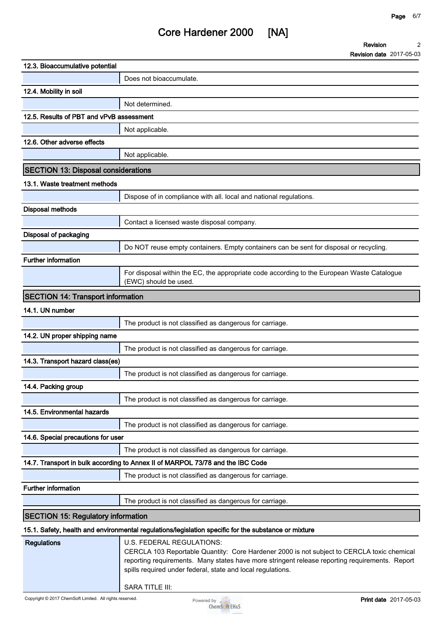**Revision Revision date 2017-05-03 2**

| 12.3. Bioaccumulative potential            |                                                                                                                                                                                                                                                                                          |
|--------------------------------------------|------------------------------------------------------------------------------------------------------------------------------------------------------------------------------------------------------------------------------------------------------------------------------------------|
|                                            | Does not bioaccumulate.                                                                                                                                                                                                                                                                  |
| 12.4. Mobility in soil                     |                                                                                                                                                                                                                                                                                          |
|                                            | Not determined.                                                                                                                                                                                                                                                                          |
| 12.5. Results of PBT and vPvB assessment   |                                                                                                                                                                                                                                                                                          |
|                                            | Not applicable.                                                                                                                                                                                                                                                                          |
| 12.6. Other adverse effects                |                                                                                                                                                                                                                                                                                          |
|                                            | Not applicable.                                                                                                                                                                                                                                                                          |
| <b>SECTION 13: Disposal considerations</b> |                                                                                                                                                                                                                                                                                          |
| 13.1. Waste treatment methods              |                                                                                                                                                                                                                                                                                          |
|                                            | Dispose of in compliance with all. local and national regulations.                                                                                                                                                                                                                       |
| <b>Disposal methods</b>                    |                                                                                                                                                                                                                                                                                          |
|                                            | Contact a licensed waste disposal company.                                                                                                                                                                                                                                               |
| Disposal of packaging                      |                                                                                                                                                                                                                                                                                          |
|                                            | Do NOT reuse empty containers. Empty containers can be sent for disposal or recycling.                                                                                                                                                                                                   |
| <b>Further information</b>                 |                                                                                                                                                                                                                                                                                          |
|                                            | For disposal within the EC, the appropriate code according to the European Waste Catalogue<br>(EWC) should be used.                                                                                                                                                                      |
| <b>SECTION 14: Transport information</b>   |                                                                                                                                                                                                                                                                                          |
| 14.1. UN number                            |                                                                                                                                                                                                                                                                                          |
|                                            | The product is not classified as dangerous for carriage.                                                                                                                                                                                                                                 |
| 14.2. UN proper shipping name              |                                                                                                                                                                                                                                                                                          |
|                                            | The product is not classified as dangerous for carriage.                                                                                                                                                                                                                                 |
| 14.3. Transport hazard class(es)           |                                                                                                                                                                                                                                                                                          |
|                                            | The product is not classified as dangerous for carriage.                                                                                                                                                                                                                                 |
| 14.4. Packing group                        |                                                                                                                                                                                                                                                                                          |
|                                            | The product is not classified as dangerous for carriage.                                                                                                                                                                                                                                 |
| 14.5. Environmental hazards                |                                                                                                                                                                                                                                                                                          |
|                                            | The product is not classified as dangerous for carriage.                                                                                                                                                                                                                                 |
| 14.6. Special precautions for user         |                                                                                                                                                                                                                                                                                          |
|                                            | The product is not classified as dangerous for carriage.                                                                                                                                                                                                                                 |
|                                            | 14.7. Transport in bulk according to Annex II of MARPOL 73/78 and the IBC Code                                                                                                                                                                                                           |
|                                            | The product is not classified as dangerous for carriage.                                                                                                                                                                                                                                 |
| <b>Further information</b>                 |                                                                                                                                                                                                                                                                                          |
|                                            | The product is not classified as dangerous for carriage.                                                                                                                                                                                                                                 |
| <b>SECTION 15: Regulatory information</b>  |                                                                                                                                                                                                                                                                                          |
|                                            | 15.1. Safety, health and environmental regulations/legislation specific for the substance or mixture                                                                                                                                                                                     |
| <b>Regulations</b>                         | U.S. FEDERAL REGULATIONS:<br>CERCLA 103 Reportable Quantity: Core Hardener 2000 is not subject to CERCLA toxic chemical<br>reporting requirements. Many states have more stringent release reporting requirements. Report<br>spills required under federal, state and local regulations. |

**SARA TITLE III:**